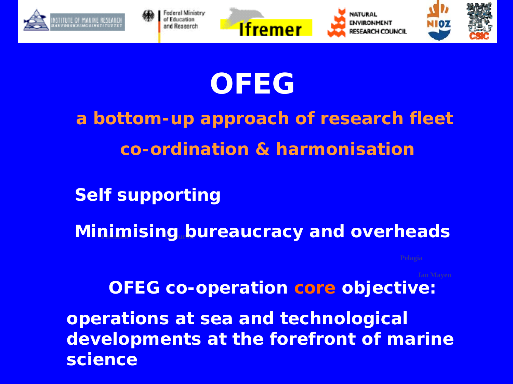

# **OFEG**

**a bottom-up approach of research fleet co-ordination & harmonisation**

**Self supporting**

**Minimising bureaucracy and overheads** 

**OFEG co-operation core objective:** 

**operations at sea and technological developments at the forefront of marine science**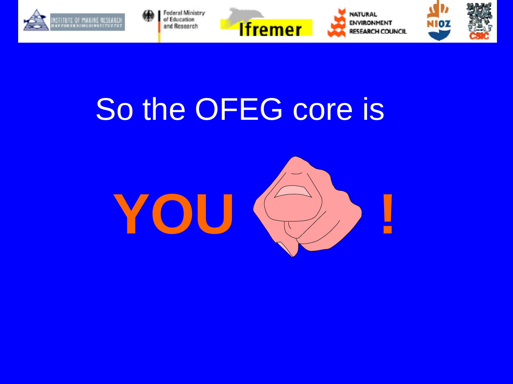



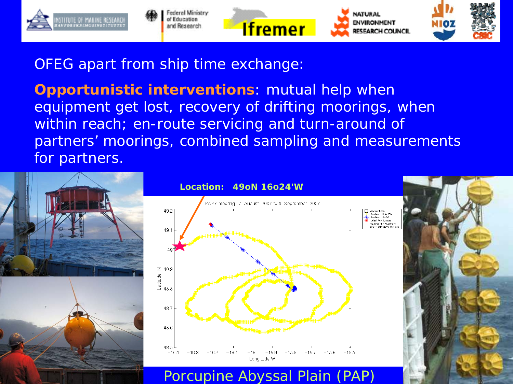

#### OFEG apart from ship time exchange:

**Opportunistic interventions**: mutual help when equipment get lost, recovery of drifting moorings, when within reach; en-route servicing and turn-around of partners' moorings, combined sampling and measurements for partners.





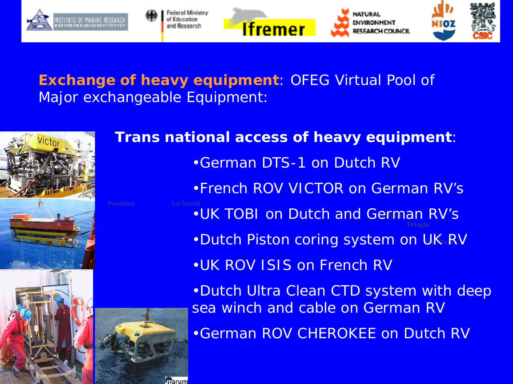

#### **Exchange of heavy equipment**: OFEG Virtual Pool of Major exchangeable Equipment:

marum



## **.UK TOBI on Dutch and German RV's** •Dutch Piston coring system on UK RV **Trans national access of heavy equipment**: •German DTS-1 on Dutch RV •French ROV VICTOR on German RV's •UK ROV ISIS on French RV •Dutch Ultra Clean CTD system with deep sea winch and cable on German RV •German ROV CHEROKEE on Dutch RV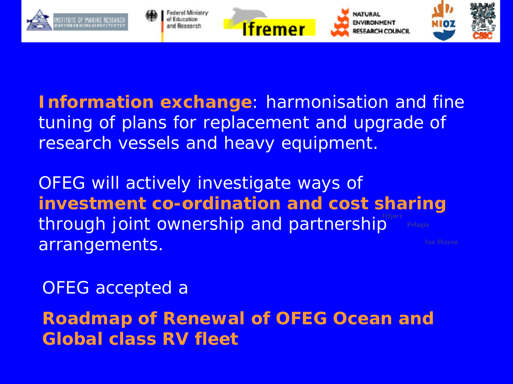

**Information exchange**: harmonisation and fine tuning of plans for replacement and upgrade of research vessels and heavy equipment.

**investment co-ordination and cost sharing** through joint ownership and partnership<sup>IHfort</sup> OFEG will actively investigate ways of arrangements.

OFEG accepted a

**Roadmap of Renewal of OFEG Ocean and Global class RV fleet**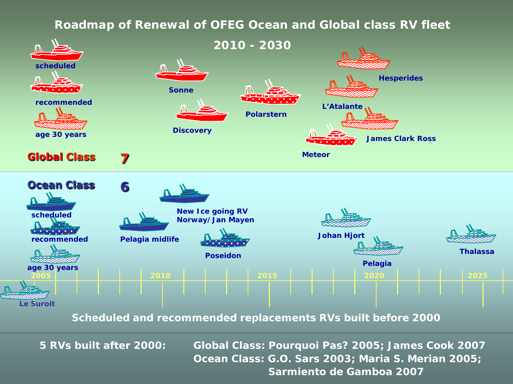#### **Roadmap of Renewal of OFEG Ocean and Global class RV fleet**



**5 RVs built after 2000: Global Class: Pourquoi Pas? 2005; James Cook 2007 Ocean Class: G.O. Sars 2003; Maria S. Merian 2005; Sarmiento de Gamboa 2007**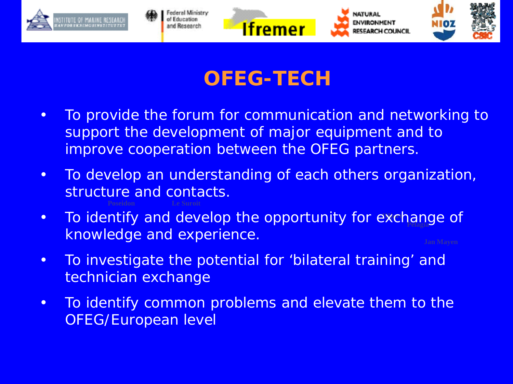

### **OFEG-TECH**

- To provide the forum for communication and networking to support the development of major equipment and to improve cooperation between the OFEG partners.
- To develop an understanding of each others organization, structure and contacts.
- **JHjort** • To identify and develop the opportunity for exchange of knowledge and experience.
- To investigate the potential for 'bilateral training' and technician exchange
- To identify common problems and elevate them to the OFEG/European level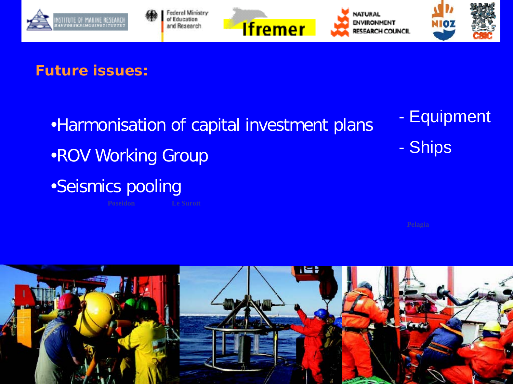

#### **Future issues:**

- •Harmonisation of capital investment plans
- •ROV Working Group
- •Seismics pooling
- Equipment
- Ships